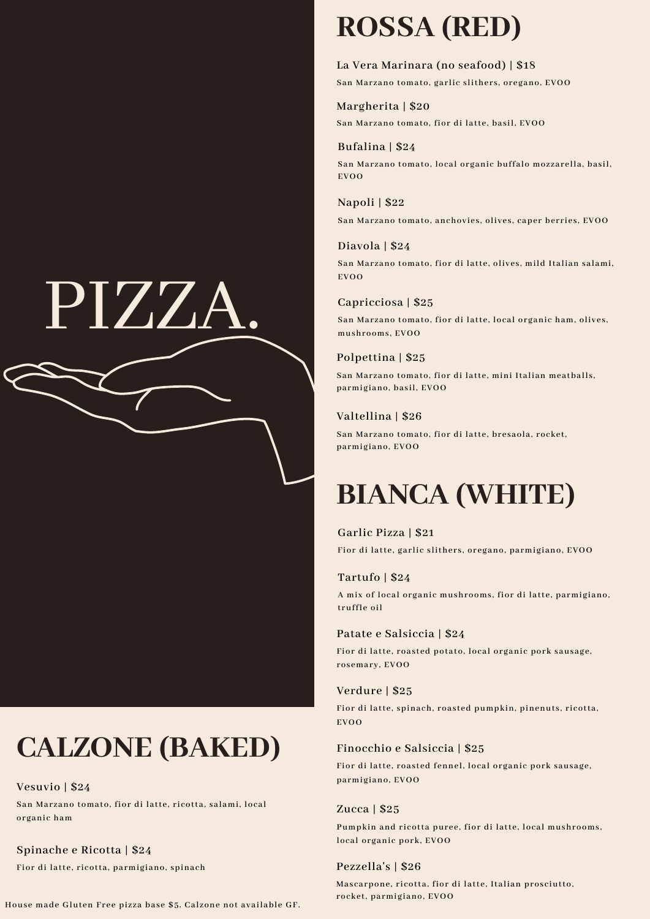# PIZZA.

# **CALZONE (BAKED)**

**Vesuvio | \$24**

**San Marzano tomato, fior di latte, ricotta, salami, local organic ham**

**Spinache e Ricotta | \$24 Fior di latte, ricotta, parmigiano, spinach**

**House made Gluten Free pizza base \$5. Calzone not available GF.**

# **ROSSA (RED)**

**La Vera Marinara (no seafood) | \$18 San Marzano tomato, garlic slithers, oregano, EVOO**

### **Margherita | \$20**

**San Marzano tomato, fior di latte, basil, EVOO**

### **Bufalina | \$24**

**San Marzano tomato, local organic buffalo mozzarella, basil, EVOO**

### **Napoli | \$22**

**San Marzano tomato, anchovies, olives, caper berries, EVOO**

### **Diavola | \$24**

**San Marzano tomato, fior di latte, olives, mild Italian salami, EVOO**

#### **Capricciosa | \$25**

**San Marzano tomato, fior di latte, local organic ham, olives, mushrooms, EVOO**

### **Polpettina | \$25**

**San Marzano tomato, fior di latte, mini Italian meatballs, parmigiano, basil, EVOO**

#### **Valtellina | \$26**

**San Marzano tomato, fior di latte, bresaola, rocket, parmigiano, EVOO**

### **BIANCA (WHITE)**

#### **Garlic Pizza | \$21**

**Fior di latte, garlic slithers, oregano, parmigiano, EVOO**

#### **Tartufo | \$24**

**A mix of local organic mushrooms, fior di latte, parmigiano, truffle oil**

#### **Patate e Salsiccia | \$24**

**Fior di latte, roasted potato, local organic pork sausage, rosemary, EVOO**

#### **Verdure | \$25**

**Fior di latte, spinach, roasted pumpkin, pinenuts, ricotta, EVOO**

#### **Finocchio e Salsiccia | \$25**

**Fior di latte, roasted fennel, local organic pork sausage, parmigiano, EVOO**

#### **Zucca | \$25**

**Pumpkin and ricotta puree, fior di latte, local mushrooms, local organic pork, EVOO**

#### **Pezzella's | \$26**

**Mascarpone, ricotta, fior di latte, Italian prosciutto, rocket, parmigiano, EVOO**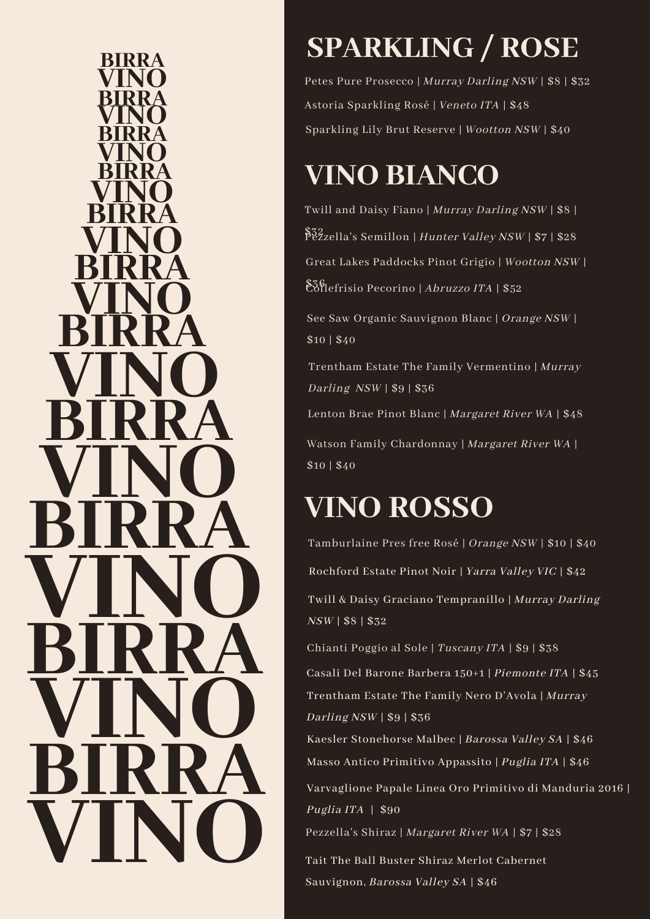**VINO BIRRA VINO VINO VINO BIRRA BIRRA BIRRA BIRRA VINO VINO VINO BIRRA BIRRA BIRRA VINO VINO VINO VINO BIRRA BIRRA BIRRA**

# **SPARKLING / ROSE**

Petes Pure Prosecco | Murray Darling NSW | \$8 | \$32 Astoria Sparkling Rosé | Veneto ITA | \$48 Sparkling Lily Brut Reserve | Wootton NSW | \$40

# **VINO BIANCO**

\$32<br>Pezzella's Semillon | *Hunter Valley NSW* | \$7 | \$28 Twill and Daisy Fiano | Murray Darling NSW | \$8 |  $\mathbb{E}\bar{\mathfrak{H}}$ lefrisio Pecorino | Abruzzo ITA | \$52 Great Lakes Paddocks Pinot Grigio | Wootton NSW |

See Saw Organic Sauvignon Blanc | Orange NSW | \$10 | \$40

Trentham Estate The Family Vermentino | Murray Darling  $NSW$  | \$9 | \$36

Lenton Brae Pinot Blanc | Margaret River WA | \$48

Watson Family Chardonnay | Margaret River WA | \$10 | \$40

# **VINO ROSSO**

Tamburlaine Pres free Rosé | Orange NSW | \$10 | \$40 Chianti Poggio al Sole | Tuscany ITA | \$9 | \$38 Twill & Daisy Graciano Tempranillo | Murray Darling NSW | \$8 | \$32 Rochford Estate Pinot Noir | Yarra Valley VIC | \$42

Casali Del Barone Barbera 150+1 | Piemonte ITA | \$45 Trentham Estate The Family Nero D'Avola | Murray Darling NSW | \$9 | \$36

Masso Antico Primitivo Appassito | Puglia ITA | \$46 Kaesler Stonehorse Malbec | Barossa Valley SA | \$46

Varvaglione Papale Linea Oro Primitivo di Manduria 2016 | Puglia ITA | \$90

Pezzella's Shiraz | Margaret River WA | \$7 | \$28

Tait The Ball Buster Shiraz Merlot Cabernet Sauvignon, Barossa Valley SA | \$46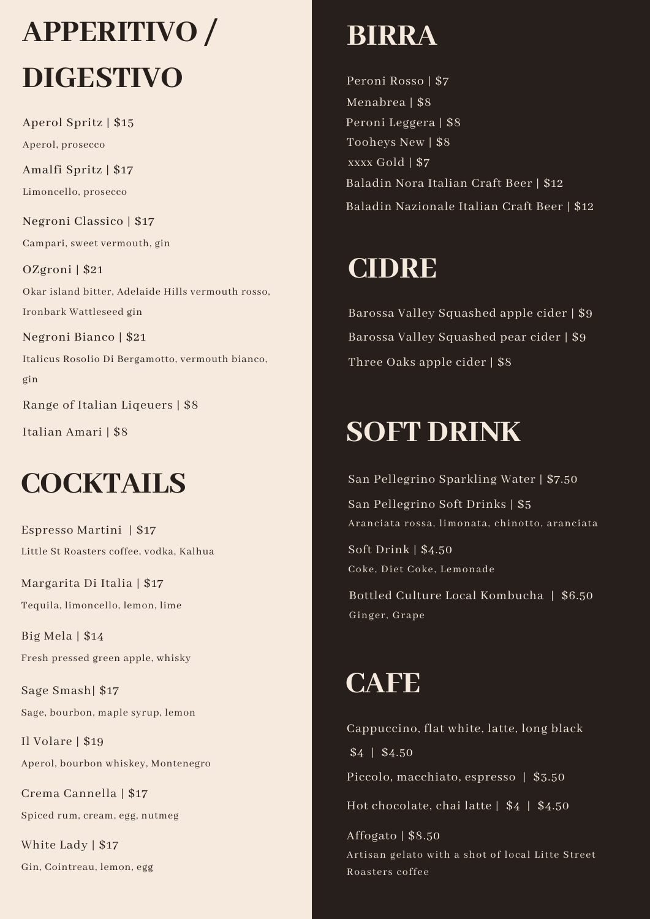# **APPERITIVO / DIGESTIVO**

Aperol Spritz | \$15 Aperol, prosecco

Amalfi Spritz | \$17 Limoncello, prosecco

Negroni Classico | \$17 Campari, sweet vermouth, gin

OZgroni | \$21 Okar island bitter, Adelaide Hills vermouth rosso, Ironbark Wattleseed gin

Negroni Bianco | \$21 Italicus Rosolio Di Bergamotto, vermouth bianco, gin

Range of Italian Liqeuers | \$8

Italian Amari | \$8

### **COCKTAILS**

Espresso Martini | \$17 Little St Roasters coffee, vodka, Kalhua

Margarita Di Italia | \$17 Tequila, limoncello, lemon, lime

Big Mela | \$14 Fresh pressed green apple, whisky

Sage Smash| \$17 Sage, bourbon, maple syrup, lemon

Il Volare | \$19 Aperol, bourbon whiskey, Montenegro

Crema Cannella | \$17 Spiced rum, cream, egg, nutmeg

White Lady | \$17 Gin, Cointreau, lemon, egg

# **BIRRA**

Peroni Rosso | \$7 Menabrea | \$8 Peroni Leggera | \$8 Tooheys New | \$8 xxxx Gold | \$7 Baladin Nora Italian Craft Beer | \$12 Baladin Nazionale Italian Craft Beer | \$12

### **CIDRE**

Barossa Valley Squashed apple cider | \$9 Barossa Valley Squashed pear cider | \$9 Three Oaks apple cider | \$8

### **SOFT DRINK**

San Pellegrino Sparkling Water | \$7.50 San Pellegrino Soft Drinks | \$5 Aranciata rossa, limonata, chinotto, aranciata

Soft Drink | \$4.50 Coke, Diet Coke, Lemonade

Bottled Culture Local Kombucha | \$6.50 Ginger, Grape

# **CAFE**

Cappuccino, flat white, latte, long black \$4 | \$4.50 Piccolo, macchiato, espresso | \$3.50 Affogato | \$8.50 Hot chocolate, chai latte | \$4 | \$4.50

Artisan gelato with a shot of local Litte Street Roasters coffee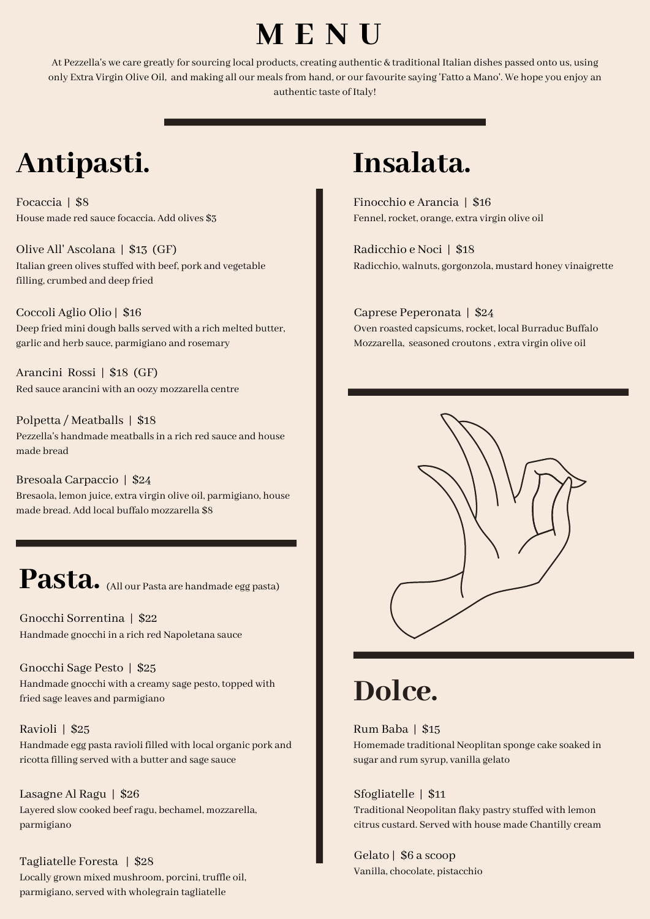### **M E N U**

At Pezzella's we care greatly forsourcing local products, creating authentic & traditional Italian dishes passed onto us, using only Extra Virgin Olive Oil, and making all our mealsfrom hand, or ourfavourite saying 'Fatto a Mano'. We hope you enjoy an authentic taste of Italy!

### **Antipasti.**

Focaccia | \$8 House made red sauce focaccia. Add olives \$3

Olive All' Ascolana | \$13 (GF) Italian green olives stuffed with beef, pork and vegetable filling, crumbed and deep fried

Coccoli Aglio Olio | \$16 Deep fried mini dough balls served with a rich melted butter, garlic and herb sauce, parmigiano and rosemary

Arancini Rossi | \$18 (GF) Red sauce arancini with an oozy mozzarella centre

Polpetta / Meatballs | \$18 Pezzella's handmade meatballsin a rich red sauce and house made bread

Bresoala Carpaccio | \$24 Bresaola, lemon juice, extra virgin olive oil, parmigiano, house made bread. Add local buffalo mozzarella \$8

### Pasta. (All our Pasta are handmade egg pasta)

Gnocchi Sorrentina | \$22 Handmade gnocchi in a rich red Napoletana sauce

Gnocchi Sage Pesto | \$25 Handmade gnocchi with a creamy sage pesto, topped with fried sage leaves and parmigiano

Ravioli | \$25 Handmade egg pasta ravioli filled with local organic pork and ricotta filling served with a butter and sage sauce

Lasagne Al Ragu | \$26 Layered slow cooked beefragu, bechamel, mozzarella, parmigiano

Tagliatelle Foresta | \$28 Locally grown mixed mushroom, porcini, truffle oil, parmigiano, served with wholegrain tagliatelle

### **Insalata.**

Finocchio e Arancia | \$16 Fennel, rocket, orange, extra virgin olive oil

Radicchio e Noci | \$18 Radicchio, walnuts, gorgonzola, mustard honey vinaigrette

### Caprese Peperonata | \$24

Oven roasted capsicums, rocket, local Burraduc Buffalo Mozzarella, seasoned croutons, extra virgin olive oil



### **Dolce.**

Rum Baba | \$15

Homemade traditional Neoplitan sponge cake soaked in sugar and rum syrup, vanilla gelato

#### Sfogliatelle | \$11

Traditional Neopolitan flaky pastry stuffed with lemon citrus custard. Served with house made Chantilly cream

Gelato | \$6 a scoop Vanilla, chocolate, pistacchio